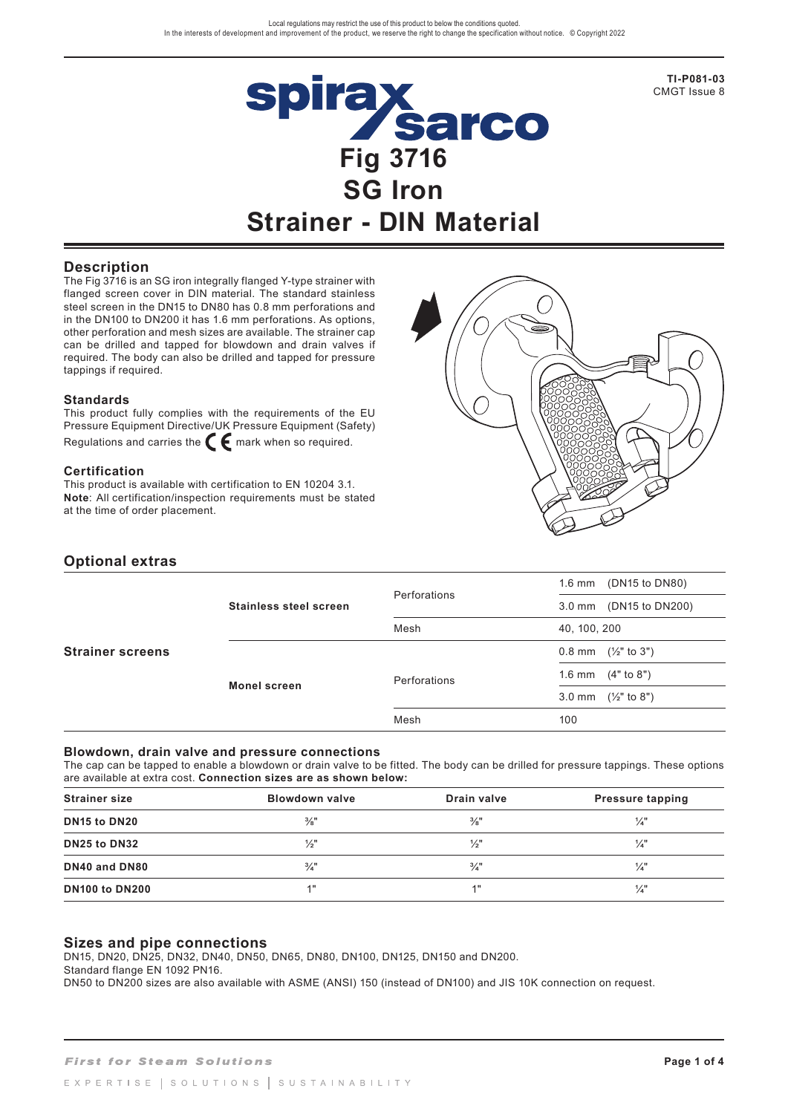

**TI-P081-03** CMGT Issue 8

## **Description**

The Fig 3716 is an SG iron integrally flanged Y-type strainer with flanged screen cover in DIN material. The standard stainless steel screen in the DN15 to DN80 has 0.8 mm perforations and in the DN100 to DN200 it has 1.6 mm perforations. As options, other perforation and mesh sizes are available. The strainer cap can be drilled and tapped for blowdown and drain valves if required. The body can also be drilled and tapped for pressure tappings if required.

#### **Standards**

This product fully complies with the requirements of the EU Pressure Equipment Directive/UK Pressure Equipment (Safety) Regulations and carries the  $\epsilon$  mark when so required.

#### **Certification**

This product is available with certification to EN 10204 3.1. **Note**: All certification/inspection requirements must be stated at the time of order placement.



## **Optional extras**

| <b>Strainer screens</b> |                        |              | (DN15 to DN80)<br>1.6 mm            |
|-------------------------|------------------------|--------------|-------------------------------------|
|                         | Stainless steel screen | Perforations | (DN15 to DN200)<br>$3.0 \text{ mm}$ |
|                         |                        | Mesh         | 40, 100, 200                        |
|                         |                        |              | $0.8$ mm $(\frac{1}{2})$ to 3")     |
|                         | <b>Monel screen</b>    | Perforations | 1.6 mm $(4"$ to 8")                 |
|                         |                        |              | 3.0 mm $(\frac{1}{2}$ " to 8")      |
|                         |                        | Mesh         | 100                                 |

### **Blowdown, drain valve and pressure connections**

The cap can be tapped to enable a blowdown or drain valve to be fitted. The body can be drilled for pressure tappings. These options are available at extra cost. **Connection sizes are as shown below:**

| <b>Strainer size</b>                 | <b>Blowdown valve</b> | Drain valve     | <b>Pressure tapping</b> |
|--------------------------------------|-----------------------|-----------------|-------------------------|
| DN <sub>15</sub> to DN <sub>20</sub> | $\frac{3}{8}$ "       | $\frac{3}{8}$ " | $\frac{1}{4}$           |
| DN25 to DN32                         | $\frac{1}{2}$ "       | $\frac{1}{2}$ " | $\frac{1}{4}$           |
| DN40 and DN80                        | $\frac{3}{4}$ "       | $\frac{3}{4}$   | 1⁄4"                    |
| <b>DN100 to DN200</b>                | 1"                    | <b>4 H</b>      | $\frac{1}{4}$           |

### **Sizes and pipe connections**

DN15, DN20, DN25, DN32, DN40, DN50, DN65, DN80, DN100, DN125, DN150 and DN200.

Standard flange EN 1092 PN16.

DN50 to DN200 sizes are also available with ASME (ANSI) 150 (instead of DN100) and JIS 10K connection on request.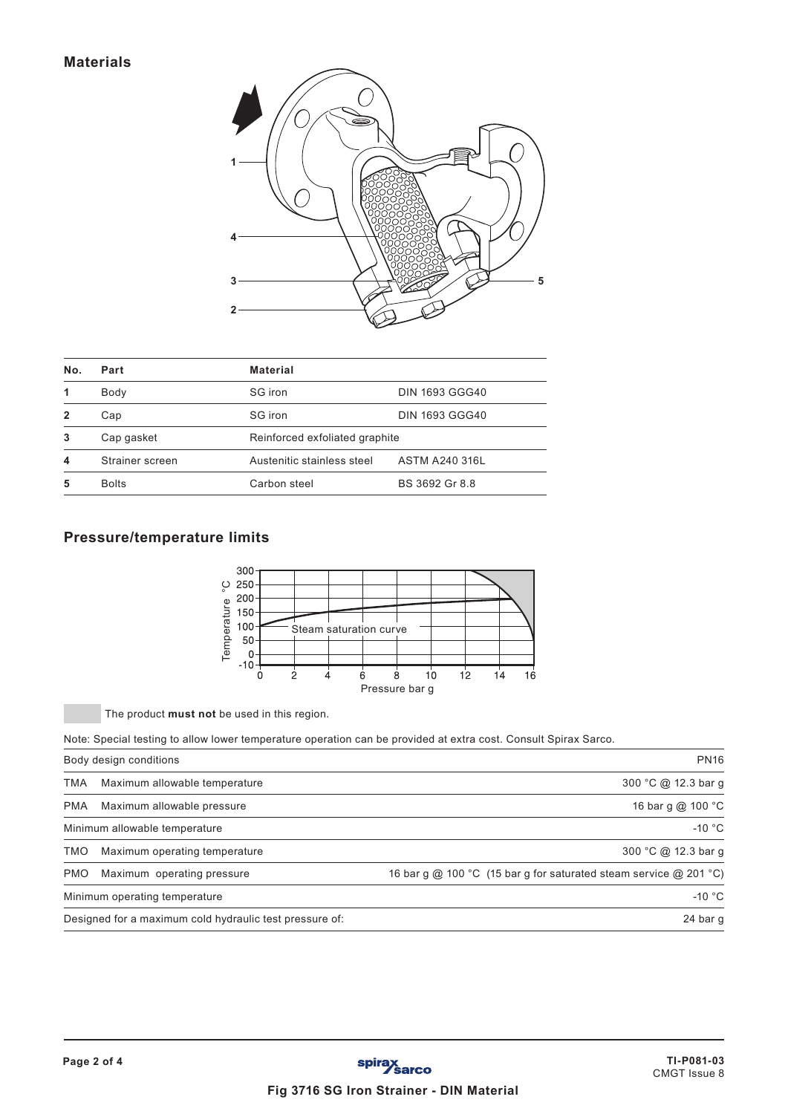

| No.          | Part            | <b>Material</b>                |                       |  |  |  |
|--------------|-----------------|--------------------------------|-----------------------|--|--|--|
| 1            | Body            | SG iron                        | <b>DIN 1693 GGG40</b> |  |  |  |
| $\mathbf{2}$ | Cap             | SG iron                        | <b>DIN 1693 GGG40</b> |  |  |  |
| 3            | Cap gasket      | Reinforced exfoliated graphite |                       |  |  |  |
| 4            | Strainer screen | Austenitic stainless steel     | <b>ASTM A240 316L</b> |  |  |  |
| 5            | <b>Bolts</b>    | Carbon steel                   | BS 3692 Gr 8.8        |  |  |  |

# **Pressure/temperature limits**



The product **must not** be used in this region.

Note: Special testing to allow lower temperature operation can be provided at extra cost. Consult Spirax Sarco.

|            | Body design conditions                                  | <b>PN16</b>                                                       |
|------------|---------------------------------------------------------|-------------------------------------------------------------------|
| TMA        | Maximum allowable temperature                           | 300 °C @ 12.3 bar g                                               |
| <b>PMA</b> | Maximum allowable pressure                              | 16 bar g @ 100 °C                                                 |
|            | Minimum allowable temperature                           | $-10 °C$                                                          |
| <b>TMO</b> | Maximum operating temperature                           | 300 °C @ 12.3 bar g                                               |
| <b>PMO</b> | Maximum operating pressure                              | 16 bar g @ 100 °C (15 bar g for saturated steam service @ 201 °C) |
|            | Minimum operating temperature                           | $-10 °C$                                                          |
|            | Designed for a maximum cold hydraulic test pressure of: | 24 bar g                                                          |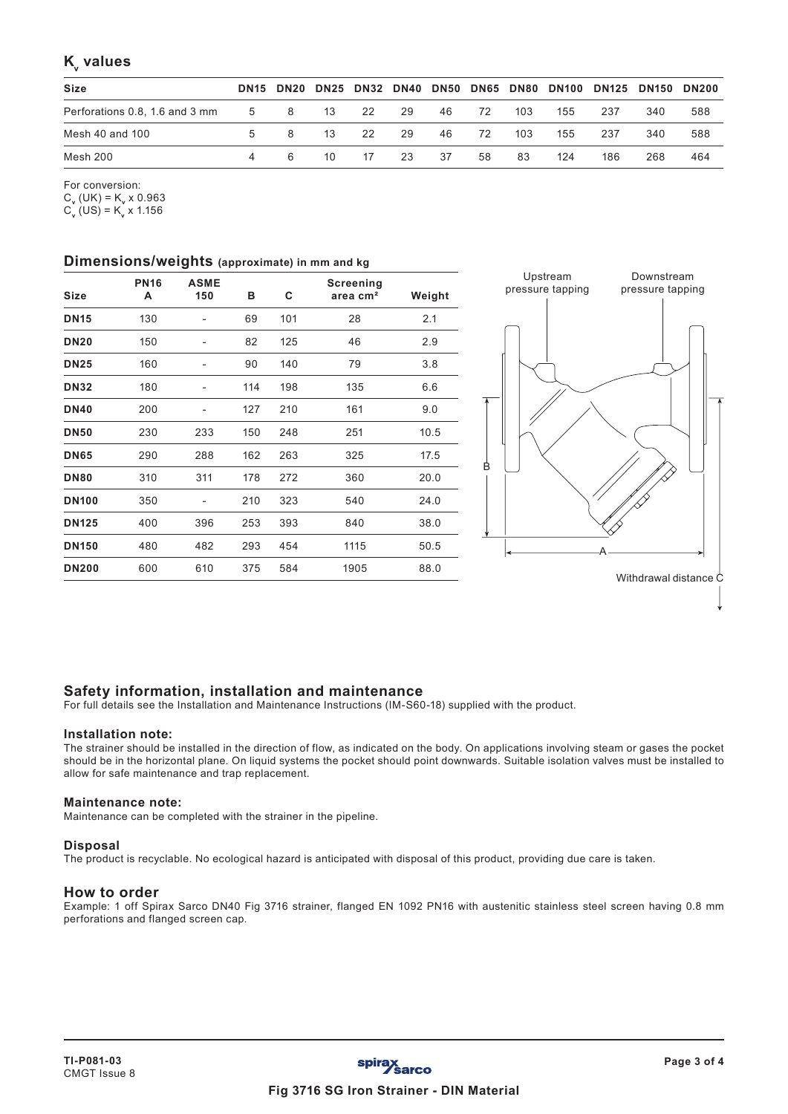## **K**<sub>v</sub> values

| <b>Size</b>     |    |                |    |    |    |      |      |     | DN15 DN20 DN25 DN32 DN40 DN50 DN65 DN80 DN100 DN125 DN150 DN200 |     |     |     |
|-----------------|----|----------------|----|----|----|------|------|-----|-----------------------------------------------------------------|-----|-----|-----|
|                 |    |                |    |    | 29 | 46 — | - 72 | 103 | 155                                                             | 237 | 340 | 588 |
| Mesh 40 and 100 | 5. | $\mathsf{R}$   | 13 | 22 | 29 | 46   | 72   | 103 | 155                                                             | 237 | 340 | 588 |
| Mesh 200        |    | 6 <sup>6</sup> | 10 | 17 | 23 | 37   | 58   | 83  | 124                                                             | 186 | 268 | 464 |

For conversion:

 $C_v$  (UK) = K<sub>v</sub> x 0.963  $C_v (US) = K_v X 1.156$ 

### **Dimensions/weights (approximate) in mm and kg**

| <b>Size</b>  | <b>PN16</b><br>А | <b>ASME</b><br>150 | в   | C   | Screening<br>area cm <sup>2</sup> | Weight |
|--------------|------------------|--------------------|-----|-----|-----------------------------------|--------|
| <b>DN15</b>  | 130              | ۰                  | 69  | 101 | 28                                | 2.1    |
| <b>DN20</b>  | 150              |                    | 82  | 125 | 46                                | 2.9    |
| <b>DN25</b>  | 160              | -                  | 90  | 140 | 79                                | 3.8    |
| <b>DN32</b>  | 180              | ۰                  | 114 | 198 | 135                               | 6.6    |
| <b>DN40</b>  | 200              | -                  | 127 | 210 | 161                               | 9.0    |
| <b>DN50</b>  | 230              | 233                | 150 | 248 | 251                               | 10.5   |
| <b>DN65</b>  | 290              | 288                | 162 | 263 | 325                               | 17.5   |
| <b>DN80</b>  | 310              | 311                | 178 | 272 | 360                               | 20.0   |
| <b>DN100</b> | 350              |                    | 210 | 323 | 540                               | 24.0   |
| <b>DN125</b> | 400              | 396                | 253 | 393 | 840                               | 38.0   |
| <b>DN150</b> | 480              | 482                | 293 | 454 | 1115                              | 50.5   |
| <b>DN200</b> | 600              | 610                | 375 | 584 | 1905                              | 88.0   |



## **Safety information, installation and maintenance**

For full details see the Installation and Maintenance Instructions (IM-S60-18) supplied with the product.

### **Installation note:**

The strainer should be installed in the direction of flow, as indicated on the body. On applications involving steam or gases the pocket should be in the horizontal plane. On liquid systems the pocket should point downwards. Suitable isolation valves must be installed to allow for safe maintenance and trap replacement.

### **Maintenance note:**

Maintenance can be completed with the strainer in the pipeline.

### **Disposal**

The product is recyclable. No ecological hazard is anticipated with disposal of this product, providing due care is taken.

### **How to order**

Example: 1 off Spirax Sarco DN40 Fig 3716 strainer, flanged EN 1092 PN16 with austenitic stainless steel screen having 0.8 mm perforations and flanged screen cap.